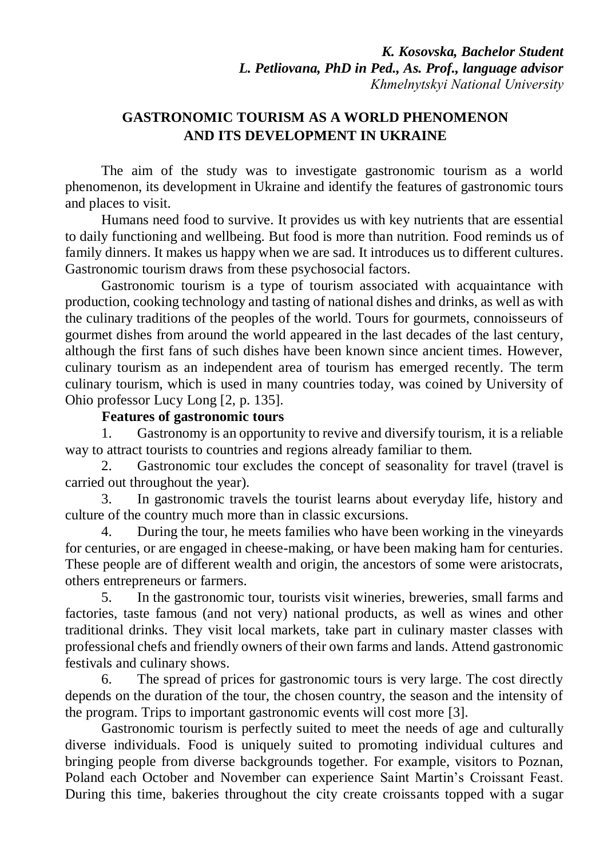# **GASTRONOMIC TOURISM AS A WORLD PHENOMENON AND ITS DEVELOPMENT IN UKRAINE**

The aim of the study was to investigate gastronomic tourism as a world phenomenon, its development in Ukraine and identify the features of gastronomic tours and places to visit.

Humans need food to survive. It provides us with key nutrients that are essential to daily functioning and wellbeing. But food is more than nutrition. Food reminds us of family dinners. It makes us happy when we are sad. It introduces us to different cultures. Gastronomic tourism draws from these psychosocial factors.

Gastronomic tourism is a type of tourism associated with acquaintance with production, cooking technology and tasting of national dishes and drinks, as well as with the culinary traditions of the peoples of the world. Tours for gourmets, connoisseurs of gourmet dishes from around the world appeared in the last decades of the last century, although the first fans of such dishes have been known since ancient times. However, culinary tourism as an independent area of tourism has emerged recently. The term culinary tourism, which is used in many countries today, was coined by University of Ohio professor Lucy Long [2, p. 135].

# **Features of gastronomic tours**

1. Gastronomy is an opportunity to revive and diversify tourism, it is a reliable way to attract tourists to countries and regions already familiar to them.

2. Gastronomic tour excludes the concept of seasonality for travel (travel is carried out throughout the year).

3. In gastronomic travels the tourist learns about everyday life, history and culture of the country much more than in classic excursions.

4. During the tour, he meets families who have been working in the vineyards for centuries, or are engaged in cheese-making, or have been making ham for centuries. These people are of different wealth and origin, the ancestors of some were aristocrats, others entrepreneurs or farmers.

5. In the gastronomic tour, tourists visit wineries, breweries, small farms and factories, taste famous (and not very) national products, as well as wines and other traditional drinks. They visit local markets, take part in culinary master classes with professional chefs and friendly owners of their own farms and lands. Attend gastronomic festivals and culinary shows.

6. The spread of prices for gastronomic tours is very large. The cost directly depends on the duration of the tour, the chosen country, the season and the intensity of the program. Trips to important gastronomic events will cost more [3].

Gastronomic tourism is perfectly suited to meet the needs of age and culturally diverse individuals. Food is uniquely suited to promoting individual cultures and bringing people from diverse backgrounds together. For example, visitors to Poznan, Poland each October and November can experience Saint Martin's Croissant Feast. During this time, bakeries throughout the city create croissants topped with a sugar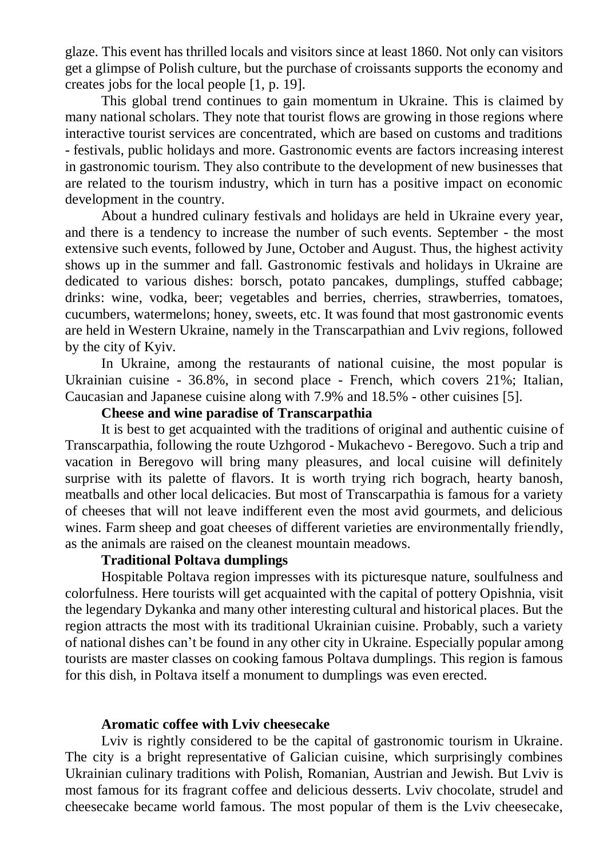glaze. This event has thrilled locals and visitors since at least 1860. Not only can visitors get a glimpse of Polish culture, but the purchase of croissants supports the economy and creates jobs for the local people [1, p. 19].

This global trend continues to gain momentum in Ukraine. This is claimed by many national scholars. They note that tourist flows are growing in those regions where interactive tourist services are concentrated, which are based on customs and traditions - festivals, public holidays and more. Gastronomic events are factors increasing interest in gastronomic tourism. They also contribute to the development of new businesses that are related to the tourism industry, which in turn has a positive impact on economic development in the country.

About a hundred culinary festivals and holidays are held in Ukraine every year, and there is a tendency to increase the number of such events. September - the most extensive such events, followed by June, October and August. Thus, the highest activity shows up in the summer and fall. Gastronomic festivals and holidays in Ukraine are dedicated to various dishes: borsch, potato pancakes, dumplings, stuffed cabbage; drinks: wine, vodka, beer; vegetables and berries, cherries, strawberries, tomatoes, cucumbers, watermelons; honey, sweets, etc. It was found that most gastronomic events are held in Western Ukraine, namely in the Transcarpathian and Lviv regions, followed by the city of Kyiv.

In Ukraine, among the restaurants of national cuisine, the most popular is Ukrainian cuisine - 36.8%, in second place - French, which covers 21%; Italian, Caucasian and Japanese cuisine along with 7.9% and 18.5% - other cuisines [5].

### **Cheese and wine paradise of Transcarpathia**

It is best to get acquainted with the traditions of original and authentic cuisine of Transcarpathia, following the route Uzhgorod - Mukachevo - Beregovo. Such a trip and vacation in Beregovo will bring many pleasures, and local cuisine will definitely surprise with its palette of flavors. It is worth trying rich bograch, hearty banosh, meatballs and other local delicacies. But most of Transcarpathia is famous for a variety of cheeses that will not leave indifferent even the most avid gourmets, and delicious wines. Farm sheep and goat cheeses of different varieties are environmentally friendly, as the animals are raised on the cleanest mountain meadows.

#### **Traditional Poltava dumplings**

Hospitable Poltava region impresses with its picturesque nature, soulfulness and colorfulness. Here tourists will get acquainted with the capital of pottery Opishnia, visit the legendary Dykanka and many other interesting cultural and historical places. But the region attracts the most with its traditional Ukrainian cuisine. Probably, such a variety of national dishes can't be found in any other city in Ukraine. Especially popular among tourists are master classes on cooking famous Poltava dumplings. This region is famous for this dish, in Poltava itself a monument to dumplings was even erected.

#### **Aromatic coffee with Lviv cheesecake**

Lviv is rightly considered to be the capital of gastronomic tourism in Ukraine. The city is a bright representative of Galician cuisine, which surprisingly combines Ukrainian culinary traditions with Polish, Romanian, Austrian and Jewish. But Lviv is most famous for its fragrant coffee and delicious desserts. Lviv chocolate, strudel and cheesecake became world famous. The most popular of them is the Lviv cheesecake,